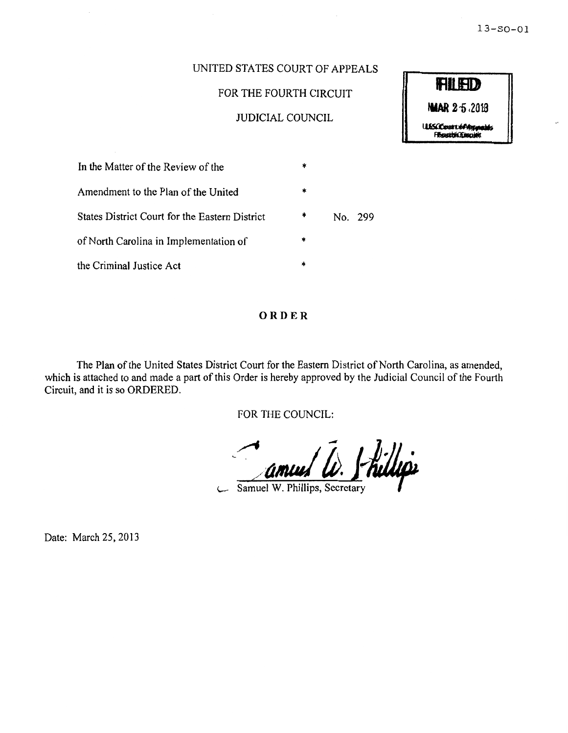## UNITED STATES COURT OF APPEALS

#### FOR THE FOURTH CIRCUIT

JUDICIAL COUNCIL



In the Matter of the Review of the \*\*\* Amendment to the Plan of the United  $*$ States District Court for the Eastern District \* No. 299 of North Carolina in Implementation of

the Criminal Justice Act \*

#### ORDER

The Plan of the United States District Court for the Eastern District of North Carolina, as amended, which is attached to and made a part of this Order is hereby approved by the Judicial Council of the Fourth Circuit, and it is so ORDERED.

FOR THE COUNCIL:

.  $$\int$ thilips

*<u>C</u>* Samuel W. Phillips, Secretary

Date: March 25,2013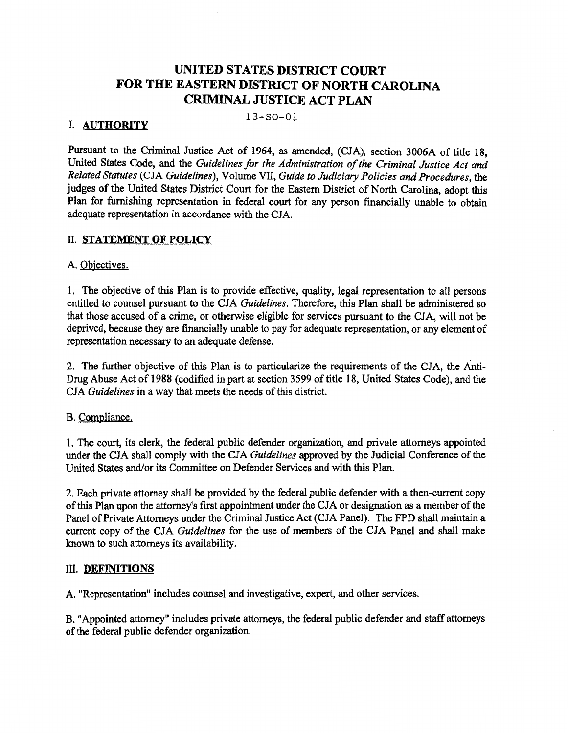# UNITED STATES DISTRICT COURT FOR THE EASTERN DISTRICT OF NORTH CAROLINA CRIMINAL JUSTICE ACT PLAN

 $13 - SO - 01$ 

### I. AUTHORITY

Pursuant to the Criminal Justice Act of 1964, as amended, (CJA), section 3006A of title 18, United States Code, and the *Guidelines for the Administration of the Criminal Justice Act and Related Statutes* (CJA *Guidelines),* Volume VII, *Guide to Judiciary Policies and Procedures,* the judges of the United States District Court for the Eastern District of North Carolina, adopt this Plan for furnishing representation in federal court for any person financially unable to obtain adequate representation in accordance with the CJA.

### II. STATEMENT OF POLICY

### A. Objectives.

1. The objective of this Plan is to provide effective, quality, legal representation to all persons entitled to counsel pursuant to the CJA *Guidelines.* Therefore, this Plan shall be administered so that those accused of a crime, or otherwise eligible for services pursuant to the CJA, will not be deprived, because they are financially unable to pay for adequate representation, or any element of representation necessary to an adequate defense.

2. The further objective of this Plan is to particularize the requirements of the CJA, the Anti-Drug Abuse Act of 1988 (codified in part at section 3599 of title 18, United States Code), and the *CIA Guidelines* in a way that meets the needs of this district.

### B. Compliance.

1. The court, its clerk, the federal public defender organization, and private attorneys appointed under the CJA shall comply with the CJA *Guidelines* approved by the Judicial Conference of the United States and/or its Committee on Defender Services and with this Plan.

2. Each private attorney shall be provided by the federal public defender with a then-current copy of this Plan upon the attorney's first appointment under the CJA or designation as a member of the Panel of Private Attorneys under the Criminal Justice Act (CJA Panel). The FPD shall maintain a current copy of the CJA *Guidelines* for the use of members of the CJA Panel and shall make known to such attorneys its availability.

### III. DEFINITIONS

A. "Representation" includes counsel and investigative, expert, and other services.

B. "Appointed attorney" includes private attorneys, the federal public defender and staff attorneys of the federal public defender organization.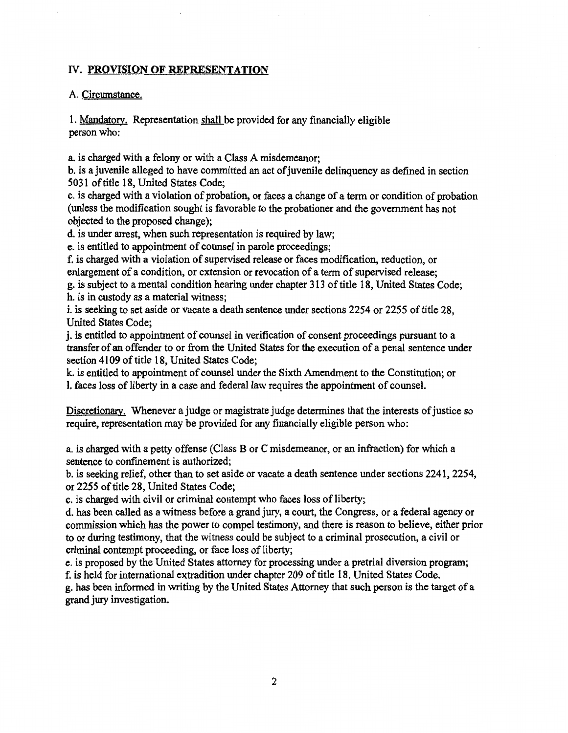## IV. PROVISION OF REPRESENTATION

A. Circumstance.

1. Mandatory. Representation shall be provided for any financially eligible person who:

a. is charged with a felony or with a Class A misdemeanor;

b. is a juvenile alleged to have committed an act of juvenile delinquency as defined in section 5031 of title 18, United States Code;

c. is charged with a violation of probation, or faces a change of a term or condition of probation (unless the modification sought is favorable to the probationer and the government has not objected to the proposed change);

d. is under arrest, when such representation is required by law;

e. is entitled to appointment of counsel in parole proceedings;

f. is charged with a violation of supervised release or faces modification, reduction, or enlargement of a condition, or extension or revocation of a term of supervised release;

g. is subject to a mental condition hearing under chapter 313 of title 18, United States Code; h. is in custody as a material witness;

i. is seeking to set aside or vacate a death sentence under sections 2254 or 2255 of title 28, United States Code;

j. is entitled to appointment of counsel in verification of consent proceedings pursuant to a transfer of an offender to or from the United States for the execution of a penal sentence under section 4109 of title 18, United States Code;

k. is entitled to appointment of counsel under the Sixth Amendment to the Constitution; or I. faces loss of liberty in a case and federal law requires the appointment of counsel.

Discretionary. Whenever a judge or magistrate judge determines that the interests of justice so require, representation may be provided for any financially eligible person who:

a. is charged with a petty offense (Class B or C misdemeanor, or an infraction) for which a sentence to confinement is authorized;

b. is seeking relief, other than to set aside or vacate a death sentence under sections 2241, 2254, or 2255 of title 28, United States Code;

c. is charged with civil or criminal contempt who faces loss of liberty;

d. has been called as a witness before a grand jury, a court, the Congress, or a federal agency or commission which has the power to compel testimony, and there is reason to believe, either prior to or during testimony, that the witness could be subject to a criminal prosecution, a civil or criminal contempt proceeding, or face loss of liberty;

e. is proposed by the United States attorney for processing under a pretrial diversion program; f. is held for international extradition under chapter 209 of title 18, United States Code.

g. has been informed in writing by the United States Attorney that such person is the target of a grand jury investigation.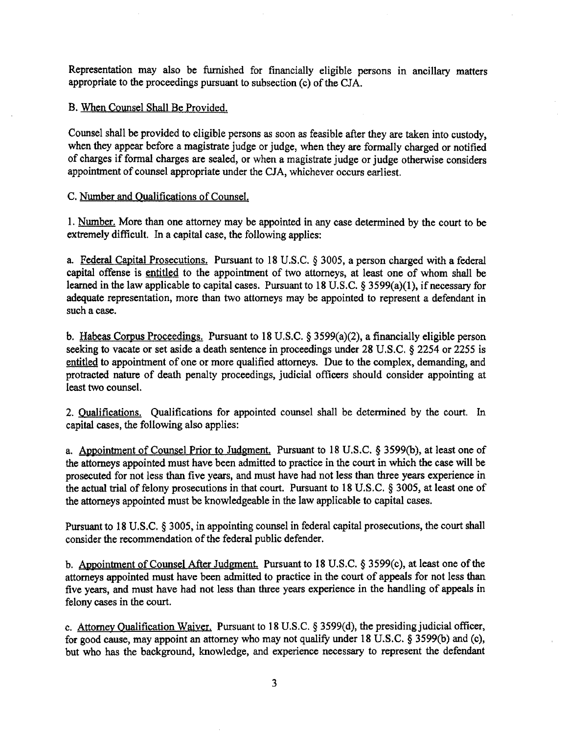Representation may also be furnished for financially eligible persons in ancillary matters appropriate to the proceedings pursuant to subsection (c) of the CJA.

### B. When Counsel Shall Be Provided.

Counsel shall be provided to eligible persons as soon as feasible after they are taken into custody, when they appear before a magistrate judge or judge, when they are formally charged or notified of charges if formal charges are sealed, or when a magistrate judge or judge otherwise considers appointment of counsel appropriate under the CJA, whichever occurs earliest.

### C. Number and Qualifications of Counsel.

1. Number. More than one attorney may be appointed in any case determined by the court to be extremely difficult. In a capital case, the following applies:

a. Federal Capital Prosecutions. Pursuant to 18 U.S.C. *§* 3005, a person charged with a federal capital offense is entitled to the appointment of two attorneys, at least one of whom shall be learned in the law applicable to capital cases. Pursuant to 18 U.S.C. § 3599(a)(l), if necessary for adequate representation, more than two attorneys may be appointed to represent a defendant in such a case.

b. Habeas Cotpus Proceedings. Pursuant to 18 U.S.C. § 3599(a)(2), a financially eligible person seeking to vacate or set aside a death sentence in proceedings under 28 U.S.C. § 2254 or 2255 is entitled to appointment of one or more qualified attorneys. Due to the complex, demanding, and protracted nature of death penalty proceedings, judicial officers should consider appointing at least two counsel.

2. Qualifications. Qualifications for appointed counsel shall be determined by the court. In capital cases, the following also applies:

a. Appointment of Counsel Prior to Judgment. Pursuant to 18 U.S.C. § 3599(b), at least one of the attorneys appointed must have been admitted to practice in the court in which the case will be prosecuted for not less than five years, and must have had not less than three years experience in the actual trial of felony prosecutions in that court. Pursuant to 18 U.S.C. § 3005, at least one of the attorneys appointed must be knowledgeable in the law applicable to capital cases.

Pursuant to 18 U.S.C. § 3005, in appointing counsel in federal capital prosecutions, the court shall consider the recommendation of the federal public defender.

b. Appointment of Counsel After Judgment. Pursuant to 18 U.S.C. § 3599(c), at least one of the attorneys appointed must have been admitted to practice in the court of appeals for not less than five years, and must have had not less than three years experience in the handling of appeals in felony cases in the court.

c. Attorney Qualification Waiver. Pursuant to 18 U.S.C. § 3599(d), the presidingjudicial officer, for good cause, may appoint an attorney who may not qualify under 18 U.S.C. *§* 3599(b) and (c), but who has the background, knowledge, and experience necessary to represent the defendant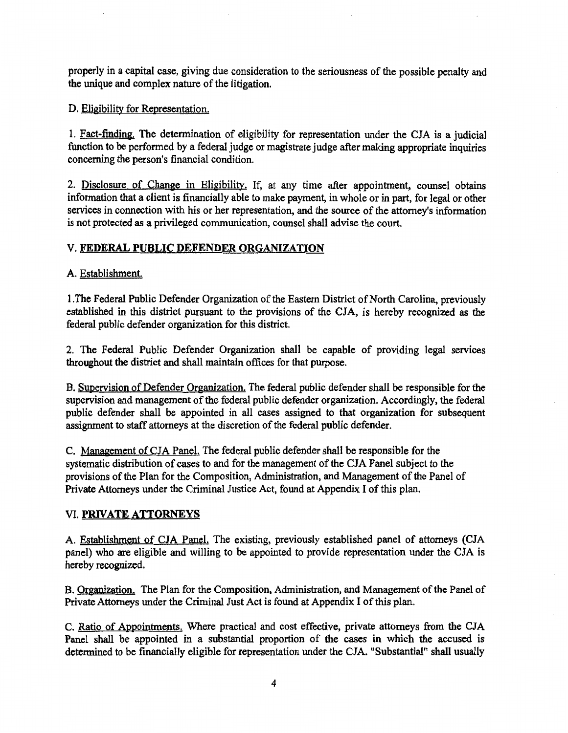properly in a capital case, giving due consideration to the seriousness of the possible penalty and the unique and complex nature of the litigation.

## D. Eligibility for Representation.

1. Fact-finding. The determination of eligibility for representation under the CJA is a judicial function to be performed by a federal judge or magistrate judge after making appropriate inquiries concerning the person's financial condition.

2. Disclosure of Change in Eligibility. If, at any time after appointment, counsel obtains infonnation that a client is financially able to make payment, in whole or in part, for legal or other services in connection with his or her representation, and the source of the attorney's information is not protected *as* a privileged communication, counsel shall advise the court.

## V. FEDERAL PUBLIC DEFENDER ORGANIZATION

## A. Establishment

1. The Federal Public Defender Organization of the Eastern District of North Carolina, previously established in this district pursuant to the provisions of the CJA, is hereby recognized *as* the federal public defender organization for this district.

2. The Federal Public Defender Organization shall be capable of providing legal services throughout the district and shall maintain offices for that purpose.

B. Supervision of Defender Organization. The federal public defender shall be responsible for the supervision and management of the federal public defender organization. Accordingly, the federal public defender shall be appointed in all cases assigned to that organization for subsequent assignment to staff attorneys at the discretion of the federal public defender.

C. Management of CJA Panel. The federal public defender shall be responsible for the systematic distribution of cases to and for the management of the CJA Panel subject to the provisions of the Plan for the Composition, Administration, and Management of the Panel of Private Attorneys under the Criminal Justice Act, found at Appendix I of this plan.

## VI. PRIVATE ATTORNEYS

A. Establishment of CJA Panel. The existing, previously established panel of attorneys (CJA panel) who are eligible and willing to be appointed to provide representation under the CJA is hereby recognized.

B. Qrganization. The Plan for the Composition, Administration, and Management of the Panel of Private Attorneys under the Criminal Just Act is found at Appendix I of this plan.

C. Ratio of Appointments. Where practical and cost effective, private attorneys from the CJA Panel shall be appointed in a substantial proportion of the cases in which the accused is determined to be financially eligible for representation under the CJA. "Substantial" shall usually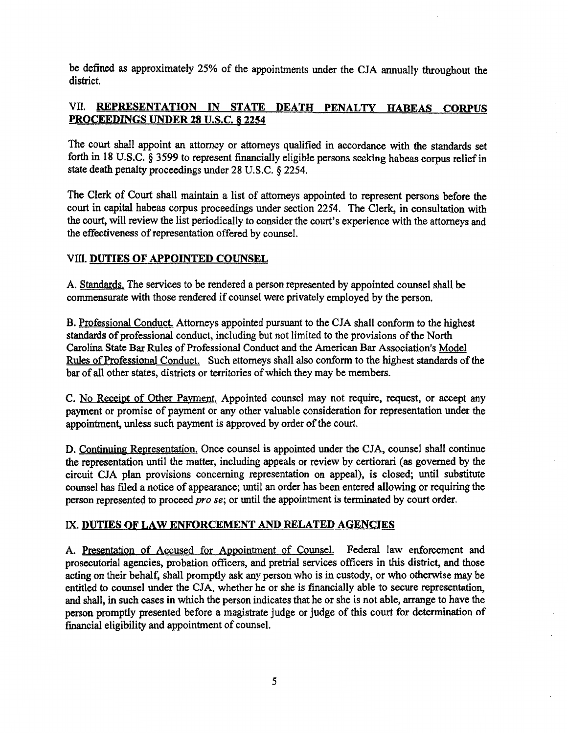be defined as approximately 25% of the appointments under the CJA annually throughout the district.

## VII. REPRESENTATION IN STATE DEATH PENALTY HABEAS CORPUS PROCEEDINGS UNDER 28 U.S.C. § 2254

The court shall appoint an attorney or attorneys qualified in accordance with the standards set forth in 18 U.S.C. § 3599 to represent financially eligible persons seeking habeas corpus relief in state death penalty proceedings under 28 U.S.C. § 2254.

The Clerk of Court shall maintain a list of attorneys appointed to represent persons before the court in capital habeas corpus proceedings under section 2254. The Clerk, in consultation with the court, will review the list periodically to consider the court's experience with the attorneys and the effectiveness of representation offered by counsel.

## VIII. DUTIES OF APPOINTED COUNSEL

A. Standards. The services to be rendered a person represented by appointed counsel shall be commensurate with those rendered if counsel were privately employed by the person.

B. Professional Conduct. Attorneys appointed pursuant to the CJA shall conform to the highest standards of professional conduct, including but not limited to the provisions of the North Carolina State Bar Rules of Professional Conduct and the American Bar Association's Model Rules of Professional Conduct. Such attorneys shall also conform to the highest standards of the bar of all other states, districts or territories of which they may be members.

C. No Receipt of Other Payment. Appointed counsel may not require, request, or accept any payment or promise of payment or any other valuable consideration for representation under the appointment, unless such payment is approved by order of the court.

D. Continuing Representation. Once counsel is appointed under the CJA, counsel shall continue the representation until the matter, including appeals or review by certiorari (as governed by the circuit CJA plan provisions concerning representation on appeal), is closed; until substitute counsel has filed a notice of appearance; until an order has been entered allowing or requiring the person represented to proceed *pro se;* or until the appointment is terminated by court order.

### IX. DUTIES OF LAW ENFORCEMENT AND RELATED AGENCIES

A. Presentation of Accused for Appointment of Counsel. Federal law enforcement and prosecutorial agencies, probation officers, and pretrial services officers in this district, and those acting on their behalf, shall promptly ask any person who is in custody, or who otherwise may be entitled to counsel under the CJA, whether he or she is financially able to secure representation, and shall, in such cases in which the person indicates that he or she is not able, arrange to have the person promptly presented before a magistrate judge or judge of this court for determination of fmancial eligibility and appointment of counsel.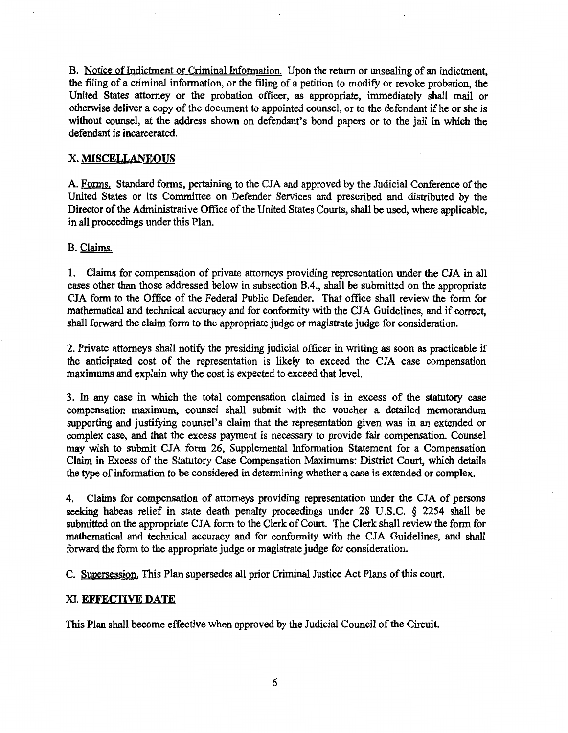B. Notice of Indictment or Criminal Information. Upon the return or unsealing of an indictment, the filing of a criminal information, or the filing of a petition to modify or revoke probation, the United States attorney or the probation officer, as appropriate, immediately shall mail or otherwise deliver a copy of the document to appointed counsel, or to the defendant if he or she is without counsel, at the address shown on defendant's bond papers or to the jail in which the defendant is incarcerated.

### X. MISCELLANEOUS

A. Forms. Standard forms, pertaining to the CJA and approved by the Judicial Conference of the United States or its Committee on Defender Services and prescribed and distributed by the Director of the Administrative Office of the United States Courts, shall be used, where applicable, in all proceedings under this Plan.

B. Claims.

1. Claims for compensation of private attorneys providing representation under the CJA in all cases other than those addressed below in subsection B.4., shall be submitted on the appropriate CJA form to the Office of the Federal Public Defender. That office shall review the form for mathematical and technical accuracy and for conformity with the CJA Guidelines, and if correct, shall forward the claim form to the appropriate judge or magistrate judge for consideration.

2. Private attorneys shall notify the presiding judicial officer in writing as soon as practicable if the anticipated cost of the representation is likely to exceed the CJA case compensation maximums and explain why the cost is expected to exceed that level.

3. In any case in which the total compensation claimed is in excess of the statutory case compensation maximum, counsel shall submit with the voucher a detailed memorandum supporting and justifying counsel's claim that the representation given was in an extended or complex case, and that the excess payment is necessary to provide fair compensation. Counsel may wish to submit CJA form 26, Supplemental Information Statement for a Compensation Claim in Excess of the Statutory Case Compensation Maximums: District Court, which details the type of information to be considered in determining whether a case is extended or complex.

4. Claims for compensation of attorneys providing representation under the CJA of persons seeking habeas relief in state death penalty proceedings under 28 U.S.C. § 2254 shall be submitted on the appropriate CJA form to the Clerk of Court. The Clerk shall review the form for mathematical and technical accuracy and for conformity with the CJA Guidelines, and shall forward the form to the appropriate judge or magistrate judge for consideration.

C. Supersession. This Plan supersedes all prior Criminal Justice Act Plans of this court.

### XI. EFFECTIVE DATE

This Plan shall become effective when approved by the Judicial Council of the Circuit.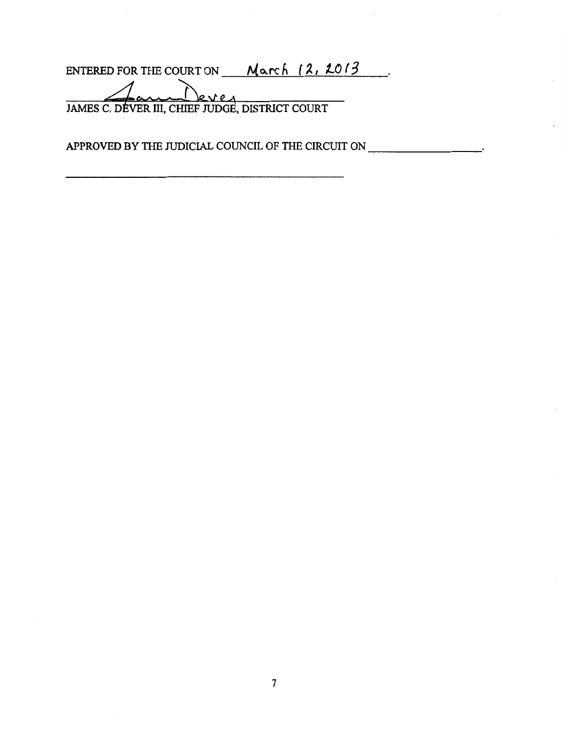ENTERED FOR THE COURT ON  $March$  (2, 2013)

JAMES C. DEVER III, CHIEF JUDGE, DISTRICT COURT

APPROVED BY THE JUDICIAL COUNCIL OF THE CIRCUIT ON \_\_\_\_\_\_\_\_\_\_\_\_\_\_\_\_\_\_\_\_\_\_\_\_\_\_\_\_\_\_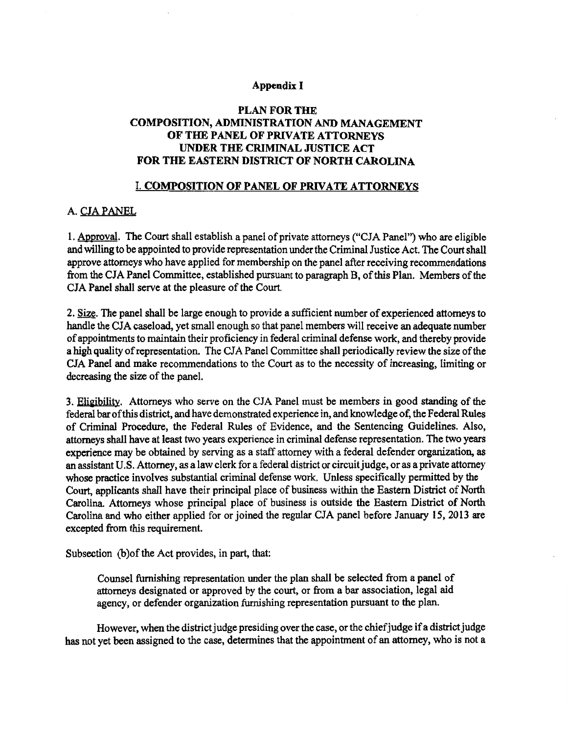### Appendix I

## PLAN FOR THE COMPOSITION, ADMINISTRATION AND MANAGEMENT OF THE PANEL OF PRIVATE ATTORNEYS UNDER THE CRIMINAL JUSTICE ACT FOR THE EASTERN DISTRICT OF NORTH CAROLINA

### I. COMPOSITION OF PANEL OF PRIVATE ATTORNEYS

### A.CJAPANEL

1. Approval. The Court shall establish a panel of private attorneys ("CJA Panel") who are eligible and willing to be appointed to provide representation under the Criminal Justice Act. The Court shall approve attorneys who have applied for membership on the panel after receiving recommendations from the CJA Panel Committee, established pursuant to paragraph B, of this Plan. Members of the CJA Panel shall serve at the pleasure of the Court.

2. Size. The panel shall be large enough to provide a sufficient nwnber of experienced attorneys to handle the CJA caseload, yet small enough so that panel members will receive an adequate number of appointments to maintain their proficiency in federal criminal defense work, and thereby provide a high quality of representation. The CJA Panel Committee shall periodically review the size of the CJA Panel and make recommendations to the Court as to the necessity of increasing, limiting or decreasing the size of the panel.

3. Eligibility. Attorneys who serve on the CJA Panel must be members in good standing of the federal bar of this district, and have demonstrated experience in, and knowledge of, the Federal Rules of Criminal Procedure, the Federal Rules of Evidence, and the Sentencing Guidelines. Also, attorneys shall have at least two years experience in criminal defense representation. The two years experience may be obtained by serving as a staff attorney with a federal defender organization, as an assistant U.S. Attorney, as a law clerk for a federal district or circuit judge, or as a private attorney whose practice involves substantial criminal defense work. Unless specifically permitted by the Court, applicants shall have their principal place of business within the Eastern District of North Carolina. Attorneys whose principal place of business is outside the Eastern District of North Carolina and who either applied for or joined the regular CJA panel before January 15, 2013 are excepted from this requirement.

Subsection (b) of the Act provides, in part, that:

Counsel furnishing representation under the plan shall be selected from a panel of attorneys designated or approved by the court, or from a bar association, legal aid agency, or defender organization furnishing representation pursuant to the plan.

However, when the district judge presiding over the case, or the chief judge if a district judge has not yet been assigned to the case, determines that the appointment of an attorney, who is not a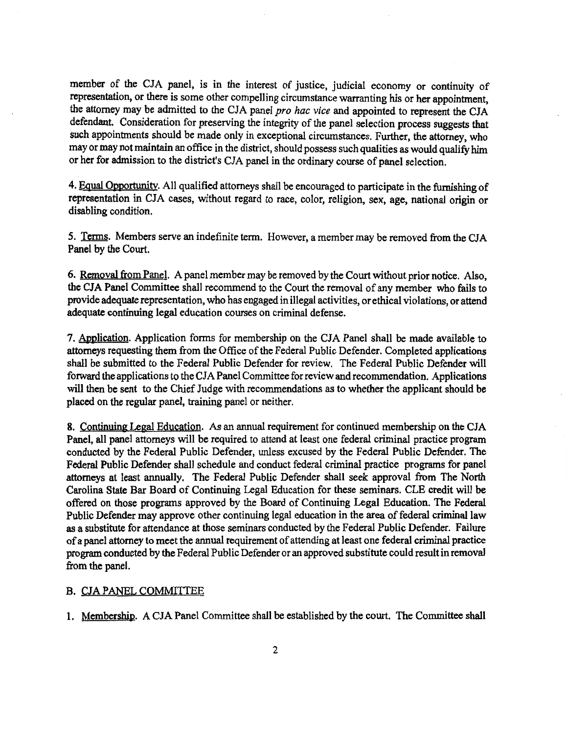member of the CJA panel, is in the interest of justice, judicial economy or continuity of representation, or there is some other compelling circumstance warranting his or her appointment, the attorney may be admitted to the CJA panel *pro hac vice* and appointed to represent the CJA defendant. Consideration for preserving the integrity of the panel selection process suggests that such appointments should be made only in exceptional circumstances. Further, the attorney, who may or may not maintain an office in the district, should possess such qualities as would qualify him or her for admission to the district's CJA panel in the ordinary course of panel selection.

4. Egual Opportunity. All qualified attorneys shall be encouraged to participate in the furnishing of representation in CJA cases, without regard to race, color, religion, sex, age, national origin or disabling condition.

5. Terms. Members serve an indefinite term. However, a member may be removed from the CJA Panel by the Court.

6. Removal from Panel. A panel member may be removed by the Court without prior notice. Also, the CJA Panel Committee shall recommend to the Court the removal of any member who fails to provide adequate representation, who has engaged in illegal activities, or ethical violations, or attend adequate continuing legal education courses on criminal defense.

7. Application. Application forms for membership on the CJA Panel shall be made available to attorneys requesting them from the Office of the Federal Public Defender. Completed applications shall be submitted to the Federal Public Defender for review. The Federal Public Defender will forward the applications to the CJA Panel Committee for review and recommendation. Applications will then be sent to the Chief Judge with recommendations as to whether the applicant should be placed on the regular panel, training panel or neither.

8. Continuing Legal Education. As an annual requirement for continued membership on the CJA Panel, all panel attorneys will be required to attend at least one federal criminal practice program conducted by the Federal Public Defender, unless excused by the Federal Public Defender. The Federal Public Defender shall schedule and conduct federal criminal practice programs for panel attorneys at least annually. The Federal Public Defender shall seek approval from The North Carolina State Bar Board of Continuing Legal Education for these seminars. CLE credit will be offered on those programs approved by the Board of Continuing Legal Education. The Federal Public Defender may approve other continuing legal education in the area of federal criminal law as a substitute for attendance at those seminars conducted by the Federal Public Defender. Failure of a panel attorney to meet the annual requirement of attending at least one federal criminal practice program conducted by the Federal Public Defender or an approved substitute could result in removal from the panel.

### B. CJA PANEL COMMITTEE

1. Membership. A CJA Panel Committee shall be established by the court. The Committee shall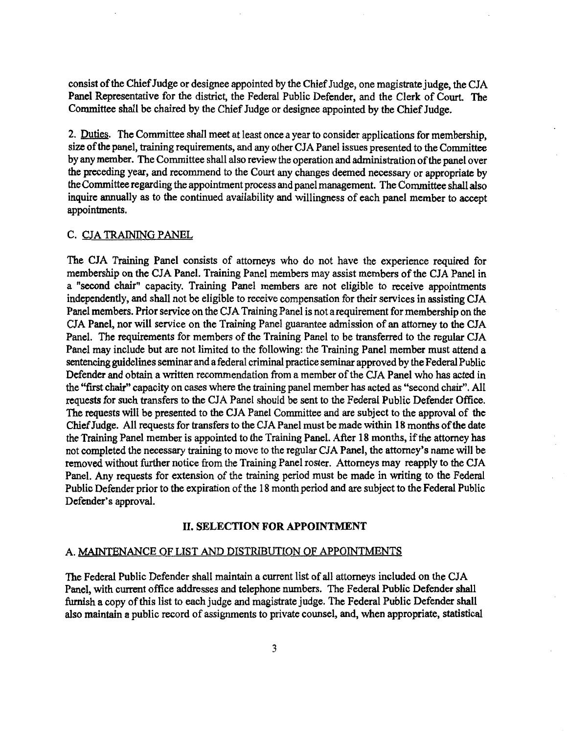consist of the Chief Judge or designee appointed by the Chief Judge, one magistrate judge, the CJA Panel Representative for the district, the Federal Public Defender, and the Clerk of Court. The Committee shall be chaired by the Chief Judge or designee appointed by the Chief Judge.

2. Duties. The Committee shall meet at least once a year to consider applications for membership, size of the panel, training requirements, and any other CJA Panel issues presented to the Committee by any member. The Committee shall also review the operation and administration of the panel over the preceding year, and recommend to the Court any changes deemed necessary or appropriate by the Committee regarding the appointment process and panel management. The Committee shall also inquire annually as to the continued availability and willingness of each panel member to accept appointments.

#### C. CJA TRAINING PANEL

The CJA Training Panel consists of attorneys who do not have the experience required for membership on the CJA Panel. Training Panel members may assist members of the CJA Panel in a "second chair" capacity. Training Panel members are not eligible to receive appointments independently, and shall not be eligible to receive compensation for their services in assisting CJA Panel members. Prior service on the CJA Training Panel is not a requirement for membership on the CJA Panel, nor will service on the Training Panel guarantee admission of an attorney to the CJA Panel. The requirements for members of the Training Panel to be transferred to the regular CJA Panel may include but are not limited to the following: the Training Panel member must attend a sentencing guidelines seminar and a federal criminal practice seminar approved by the Federal Public Defender and obtain a written recommendation from a member of the CJA Panel who has acted in the "first chair" capacity on cases where the training panel member has acted as "second chair". All requests for such transfers to the CJA Panel should be sent to the Federal Public Defender Office. The requests will be presented to the CJA Panel Committee and are subject to the approval of the Chief Judge. All requests for transfers to the CJA Panel must be made within 18 months of the date the Training Panel member is appointed to the Training Panel. After 18 months, if the attorney has not completed the necessary training to move to the regular CJA Panel, the attorney's name will be removed without further notice from the Training Panel roster. Attorneys may reapply to the CJA Panel. Any requests for extension of the training period must be made in writing to the Federal Public Defender prior to the expiration of the 18 month period and are subject to the Federal Public Defender's approval.

#### II. SELECTION FOR APPOINTMENT

#### A. MAINTENANCE OF LIST AND DISTRIBUTION OF APPOINTMENTS

The Federal Public Defender shall maintain a current list of all attorneys included on the CJA Panel, with current office addresses and telephone numbers. The Federal Public Defender shall furnish a copy of this list to each judge and magistrate judge. The Federal Public Defender shall also maintain a public record of assignments to private counsel, and, when appropriate, statistical